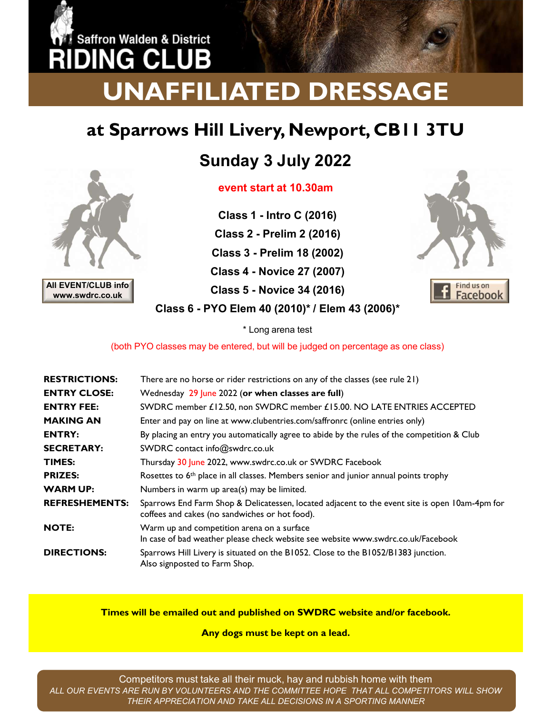# EVERTIFY<br>
SALL THE PUBLIC START AND NOT CONTROLLED IN THE PUBLIC STATE OF THE PUBLIC START AT 10.30am<br>
Class 1 - Intro C (2016)<br>
Class 1 - Intro C (2016)<br>
Class 2 - Prelim 2 (2016) **Class 1 - Intro C (2016)**<br>
I Class 1 - Intro C (2016)<br>
I Class 1 - Intro C (2016)<br>
I Class 2 - Prelim 2 (2016)<br>
I Class 2 - Prelim 2 (2016)<br>
I Ass 3 - Prelim 18 (2002) Class 2 - Prelim 2 (2016) **CONSTREMANT ED DRESSAGE<br>
III Livery, Newport, CBII 3TU<br>
unday 3 July 2022<br>

vent start at 10.30am<br>
Class 1 - Intro C (2016)<br>
Class 2 - Prelim 2 (2016)<br>
Class 3 - Prelim 18 (2002)<br>
Class 3 - Prelim 18 (2002)<br>
Class 5 - No** Class 4 - Novice 27 (2007) DING CL UNAFFILIATED DRESSAGE

### at Sparrows Hill Livery, Newport, CB11 3TU

### Sunday 3 July 2022



Class 2 - Prelim 2 (2016) All EVENT/CLUB info<br>
Class 5 - Novice 34 (2016) Class 6 - PYO Elem 40 (2010)\* / Elem 43 (2006)\*



|                                        | event start at 10.50am                                                                                                                           |
|----------------------------------------|--------------------------------------------------------------------------------------------------------------------------------------------------|
|                                        | <b>Class 1 - Intro C (2016)</b>                                                                                                                  |
|                                        | <b>Class 2 - Prelim 2 (2016)</b>                                                                                                                 |
|                                        | Class 3 - Prelim 18 (2002)                                                                                                                       |
|                                        | <b>Class 4 - Novice 27 (2007)</b>                                                                                                                |
| All EVENT/CLUB info<br>www.swdrc.co.uk | Find us on<br><b>Class 5 - Novice 34 (2016)</b><br>Facebook                                                                                      |
|                                        | Class 6 - PYO Elem 40 (2010)* / Elem 43 (2006)*                                                                                                  |
|                                        | * Long arena test                                                                                                                                |
|                                        | (both PYO classes may be entered, but will be judged on percentage as one class)                                                                 |
| <b>RESTRICTIONS:</b>                   | There are no horse or rider restrictions on any of the classes (see rule 21)                                                                     |
| <b>ENTRY CLOSE:</b>                    | Wednesday 29 June 2022 (or when classes are full)                                                                                                |
| <b>ENTRY FEE:</b>                      | SWDRC member £12.50, non SWDRC member £15.00. NO LATE ENTRIES ACCEPTED                                                                           |
| <b>MAKING AN</b>                       | Enter and pay on line at www.clubentries.com/saffronrc (online entries only)                                                                     |
| <b>ENTRY:</b>                          | By placing an entry you automatically agree to abide by the rules of the competition & Club                                                      |
| <b>SECRETARY:</b>                      | SWDRC contact info@swdrc.co.uk                                                                                                                   |
| <b>TIMES:</b>                          | Thursday 30 June 2022, www.swdrc.co.uk or SWDRC Facebook                                                                                         |
| <b>PRIZES:</b>                         | Rosettes to 6 <sup>th</sup> place in all classes. Members senior and junior annual points trophy                                                 |
| <b>WARM UP:</b>                        | Numbers in warm up area(s) may be limited.                                                                                                       |
| <b>REFRESHEMENTS:</b>                  | Sparrows End Farm Shop & Delicatessen, located adjacent to the event site is open 10am-4pm for<br>coffees and cakes (no sandwiches or hot food). |
| <b>NOTE:</b>                           | Warm up and competition arena on a surface<br>In case of bad weather please check website see website www.swdrc.co.uk/Facebook                   |
| <b>DIRECTIONS:</b>                     | Sparrows Hill Livery is situated on the B1052. Close to the B1052/B1383 junction.<br>Also signposted to Farm Shop.                               |

Times will be emailed out and published on SWDRC website and/or facebook.

Any dogs must be kept on a lead.

Competitors must take all their muck, hay and rubbish home with them ALL OUR EVENTS ARE RUN BY VOLUNTEERS AND THE COMMITTEE HOPE THAT ALL COMPETITORS WILL SHOW THEIR APPRECIATION AND TAKE ALL DECISIONS IN A SPORTING MANNER